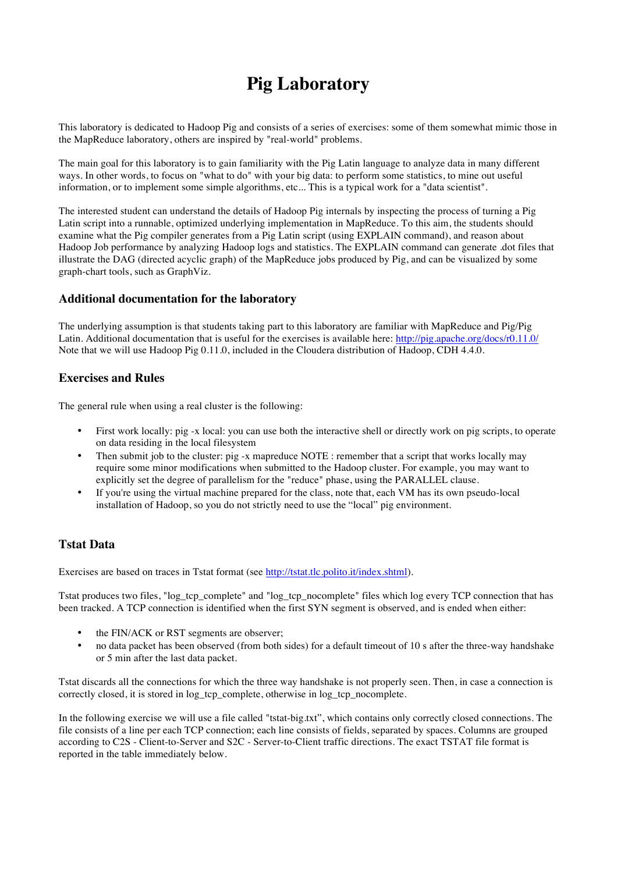# **Pig Laboratory**

This laboratory is dedicated to Hadoop Pig and consists of a series of exercises: some of them somewhat mimic those in the MapReduce laboratory, others are inspired by "real-world" problems.

The main goal for this laboratory is to gain familiarity with the Pig Latin language to analyze data in many different ways. In other words, to focus on "what to do" with your big data: to perform some statistics, to mine out useful information, or to implement some simple algorithms, etc... This is a typical work for a "data scientist".

The interested student can understand the details of Hadoop Pig internals by inspecting the process of turning a Pig Latin script into a runnable, optimized underlying implementation in MapReduce. To this aim, the students should examine what the Pig compiler generates from a Pig Latin script (using EXPLAIN command), and reason about Hadoop Job performance by analyzing Hadoop logs and statistics. The EXPLAIN command can generate .dot files that illustrate the DAG (directed acyclic graph) of the MapReduce jobs produced by Pig, and can be visualized by some graph-chart tools, such as GraphViz.

#### **Additional documentation for the laboratory**

The underlying assumption is that students taking part to this laboratory are familiar with MapReduce and Pig/Pig Latin. Additional documentation that is useful for the exercises is available here: http://pig.apache.org/docs/r0.11.0/ Note that we will use Hadoop Pig 0.11.0, included in the Cloudera distribution of Hadoop, CDH 4.4.0.

#### **Exercises and Rules**

The general rule when using a real cluster is the following:

- First work locally: pig -x local: you can use both the interactive shell or directly work on pig scripts, to operate on data residing in the local filesystem
- Then submit job to the cluster: pig -x mapreduce NOTE : remember that a script that works locally may require some minor modifications when submitted to the Hadoop cluster. For example, you may want to explicitly set the degree of parallelism for the "reduce" phase, using the PARALLEL clause.
- If you're using the virtual machine prepared for the class, note that, each VM has its own pseudo-local installation of Hadoop, so you do not strictly need to use the "local" pig environment.

### **Tstat Data**

Exercises are based on traces in Tstat format (see http://tstat.tlc.polito.it/index.shtml).

Tstat produces two files, "log tcp\_complete" and "log\_tcp\_nocomplete" files which log every TCP connection that has been tracked. A TCP connection is identified when the first SYN segment is observed, and is ended when either:

- the FIN/ACK or RST segments are observer;
- no data packet has been observed (from both sides) for a default timeout of 10 s after the three-way handshake or 5 min after the last data packet.

Tstat discards all the connections for which the three way handshake is not properly seen. Then, in case a connection is correctly closed, it is stored in log\_tcp\_complete, otherwise in log\_tcp\_nocomplete.

In the following exercise we will use a file called "tstat-big.txt", which contains only correctly closed connections. The file consists of a line per each TCP connection; each line consists of fields, separated by spaces. Columns are grouped according to C2S - Client-to-Server and S2C - Server-to-Client traffic directions. The exact TSTAT file format is reported in the table immediately below.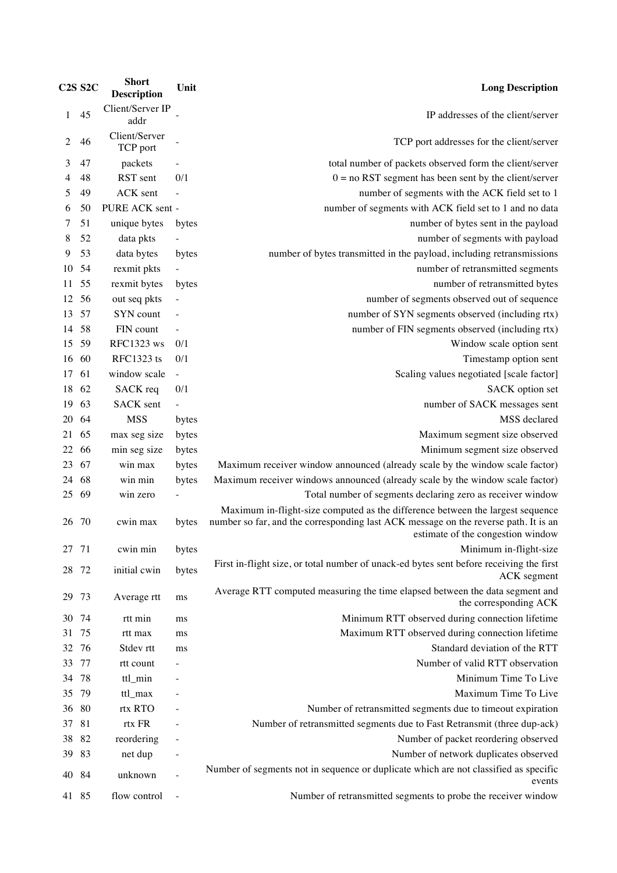|       | <b>C2S S2C</b> | <b>Short</b><br><b>Description</b> | Unit                     | <b>Long Description</b>                                                                                                                                                                                    |
|-------|----------------|------------------------------------|--------------------------|------------------------------------------------------------------------------------------------------------------------------------------------------------------------------------------------------------|
| 1     | 45             | Client/Server IP<br>addr           |                          | IP addresses of the client/server                                                                                                                                                                          |
| 2     | 46             | Client/Server<br>TCP port          |                          | TCP port addresses for the client/server                                                                                                                                                                   |
| 3     | 47             | packets                            |                          | total number of packets observed form the client/server                                                                                                                                                    |
| 4     | 48             | RST sent                           | 0/1                      | $0 = no RST$ segment has been sent by the client/server                                                                                                                                                    |
| 5     | 49             | ACK sent                           | $\overline{\phantom{a}}$ | number of segments with the ACK field set to 1                                                                                                                                                             |
| 6     | 50             | PURE ACK sent -                    |                          | number of segments with ACK field set to 1 and no data                                                                                                                                                     |
| 7     | 51             | unique bytes                       | bytes                    | number of bytes sent in the payload                                                                                                                                                                        |
| 8     | 52             | data pkts                          |                          | number of segments with payload                                                                                                                                                                            |
| 9     | 53             | data bytes                         | bytes                    | number of bytes transmitted in the payload, including retransmissions                                                                                                                                      |
| 10    | 54             | rexmit pkts                        |                          | number of retransmitted segments                                                                                                                                                                           |
| 11    | 55             | rexmit bytes                       | bytes                    | number of retransmitted bytes                                                                                                                                                                              |
| 12    | 56             | out seq pkts                       |                          | number of segments observed out of sequence                                                                                                                                                                |
| 13    | 57             | SYN count                          |                          | number of SYN segments observed (including rtx)                                                                                                                                                            |
| 14    | 58             | FIN count                          |                          | number of FIN segments observed (including rtx)                                                                                                                                                            |
| 15    | 59             | <b>RFC1323</b> ws                  | 0/1                      | Window scale option sent                                                                                                                                                                                   |
| 16    | 60             | RFC1323 ts                         | 0/1                      | Timestamp option sent                                                                                                                                                                                      |
| 17    | 61             | window scale                       | $\mathbb{Z}^2$           | Scaling values negotiated [scale factor]                                                                                                                                                                   |
| 18    | 62             | SACK req                           | 0/1                      | SACK option set                                                                                                                                                                                            |
| 19    | 63             | <b>SACK</b> sent                   | $\overline{\phantom{a}}$ | number of SACK messages sent                                                                                                                                                                               |
| 20    | 64             | <b>MSS</b>                         | bytes                    | MSS declared                                                                                                                                                                                               |
| 21    | 65             | max seg size                       | bytes                    | Maximum segment size observed                                                                                                                                                                              |
| 22    | 66             | min seg size                       | bytes                    | Minimum segment size observed                                                                                                                                                                              |
| 23    | 67             | win max                            | bytes                    | Maximum receiver window announced (already scale by the window scale factor)                                                                                                                               |
| 24    | 68             | win min                            | bytes                    | Maximum receiver windows announced (already scale by the window scale factor)                                                                                                                              |
| 25    | 69             | win zero                           |                          | Total number of segments declaring zero as receiver window                                                                                                                                                 |
| 26    | -70            | cwin max                           | bytes                    | Maximum in-flight-size computed as the difference between the largest sequence<br>number so far, and the corresponding last ACK message on the reverse path. It is an<br>estimate of the congestion window |
| 27    | 71             | cwin min                           | bytes                    | Minimum in-flight-size                                                                                                                                                                                     |
| 28    | 72             | initial cwin                       | bytes                    | First in-flight size, or total number of unack-ed bytes sent before receiving the first<br>ACK segment                                                                                                     |
| 29    | 73             | Average rtt                        | ms                       | Average RTT computed measuring the time elapsed between the data segment and<br>the corresponding ACK                                                                                                      |
| 30    | 74             | rtt min                            | ms                       | Minimum RTT observed during connection lifetime                                                                                                                                                            |
| 31    | 75             | rtt max                            | ms                       | Maximum RTT observed during connection lifetime                                                                                                                                                            |
| 32    | 76             | Stdev rtt                          | ms                       | Standard deviation of the RTT                                                                                                                                                                              |
| 33    | 77             | rtt count                          |                          | Number of valid RTT observation                                                                                                                                                                            |
| 34    | 78             | ttl_min                            |                          | Minimum Time To Live                                                                                                                                                                                       |
| 35    | 79             | ttl_max                            |                          | Maximum Time To Live                                                                                                                                                                                       |
| 36    | 80             | rtx RTO                            |                          | Number of retransmitted segments due to timeout expiration                                                                                                                                                 |
| 37    | 81             | rtx FR                             |                          | Number of retransmitted segments due to Fast Retransmit (three dup-ack)                                                                                                                                    |
| 38    | 82             | reordering                         |                          | Number of packet reordering observed                                                                                                                                                                       |
| 39    | 83             | net dup                            |                          | Number of network duplicates observed                                                                                                                                                                      |
| 40    | 84             | unknown                            | $\overline{\phantom{a}}$ | Number of segments not in sequence or duplicate which are not classified as specific<br>events                                                                                                             |
| 41 85 |                | flow control                       | $\overline{\phantom{a}}$ | Number of retransmitted segments to probe the receiver window                                                                                                                                              |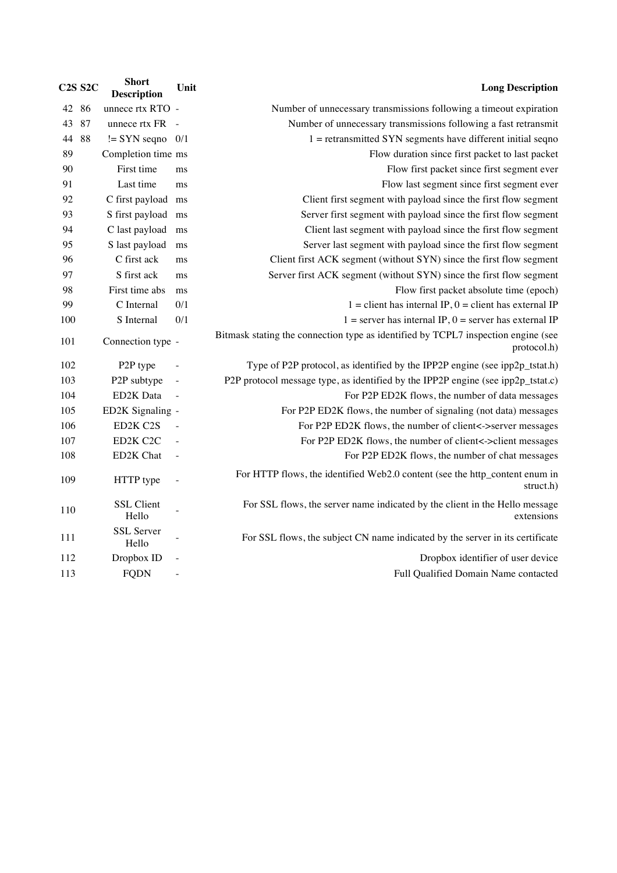| <b>Long Description</b><br>Unit                                                                  |  | <b>Short</b><br><b>Description</b> |    | <b>C2S S2C</b> |
|--------------------------------------------------------------------------------------------------|--|------------------------------------|----|----------------|
| Number of unnecessary transmissions following a timeout expiration                               |  | unnece rtx RTO -                   |    | 42 86          |
| Number of unnecessary transmissions following a fast retransmit<br>$\sim$                        |  | unnece rtx FR                      | 87 | 43             |
| $1 =$ retransmitted SYN segments have different initial seqno                                    |  | $!=$ SYN seqno 0/1                 | 88 | 44             |
| Flow duration since first packet to last packet                                                  |  | Completion time ms                 |    | 89             |
| Flow first packet since first segment ever<br>ms                                                 |  | First time                         |    | 90             |
| Flow last segment since first segment ever<br>ms                                                 |  | Last time                          |    | 91             |
| Client first segment with payload since the first flow segment                                   |  | C first payload ms                 |    | 92             |
| Server first segment with payload since the first flow segment<br>ms                             |  | S first payload                    |    | 93             |
| Client last segment with payload since the first flow segment<br>ms                              |  | C last payload                     |    | 94             |
| Server last segment with payload since the first flow segment<br>ms                              |  | S last payload                     |    | 95             |
| Client first ACK segment (without SYN) since the first flow segment<br>ms                        |  | C first ack                        |    | 96             |
| Server first ACK segment (without SYN) since the first flow segment<br>ms                        |  | S first ack                        |    | 97             |
| Flow first packet absolute time (epoch)<br>ms                                                    |  | First time abs                     |    | 98             |
| 0/1<br>$1 =$ client has internal IP, $0 =$ client has external IP                                |  | C Internal                         |    | 99             |
| 0/1<br>$1 =$ server has internal IP, $0 =$ server has external IP                                |  | S Internal                         |    | 100            |
| Bitmask stating the connection type as identified by TCPL7 inspection engine (see<br>protocol.h) |  | Connection type -                  |    | 101            |
| Type of P2P protocol, as identified by the IPP2P engine (see ipp2p_tstat.h)                      |  | P <sub>2P</sub> type               |    | 102            |
| P2P protocol message type, as identified by the IPP2P engine (see ipp2p_tstat.c)                 |  | P2P subtype                        |    | 103            |
| For P2P ED2K flows, the number of data messages<br>$\blacksquare$                                |  | ED2K Data                          |    | 104            |
| For P2P ED2K flows, the number of signaling (not data) messages                                  |  | ED2K Signaling -                   |    | 105            |
| For P2P ED2K flows, the number of client<->server messages                                       |  | ED2K C2S                           |    | 106            |
| For P2P ED2K flows, the number of client<->client messages                                       |  | ED2K C2C                           |    | 107            |
| For P2P ED2K flows, the number of chat messages                                                  |  | ED2K Chat                          |    | 108            |
| For HTTP flows, the identified Web2.0 content (see the http_content enum in                      |  | HTTP type                          |    | 109            |
| For SSL flows, the server name indicated by the client in the Hello message<br>extensions        |  | <b>SSL Client</b><br>Hello         |    | 110            |
| For SSL flows, the subject CN name indicated by the server in its certificate                    |  | <b>SSL</b> Server<br>Hello         |    | 111            |
| Dropbox identifier of user device                                                                |  | Dropbox ID                         |    | 112            |
| Full Qualified Domain Name contacted                                                             |  | <b>FQDN</b>                        |    | 113            |
|                                                                                                  |  |                                    |    |                |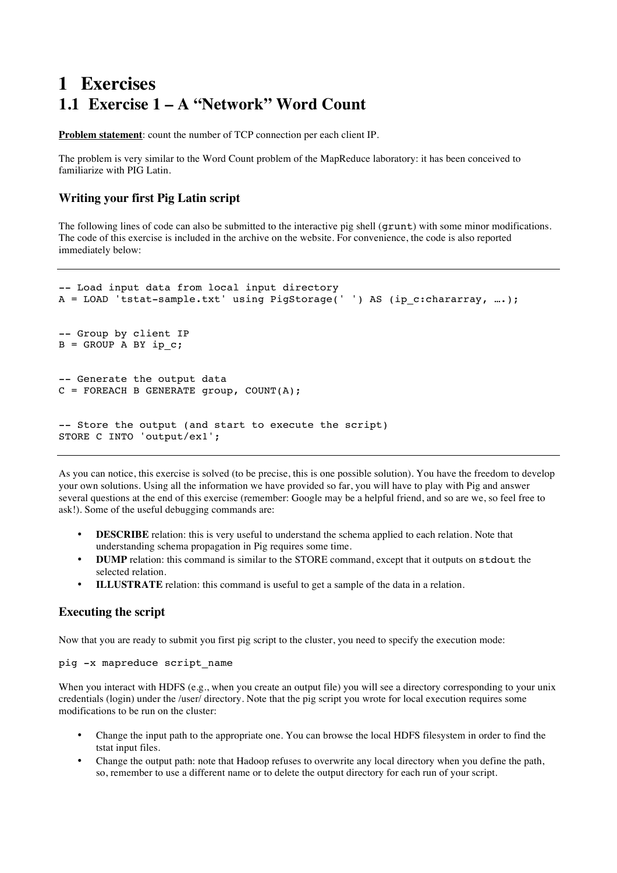# **1 Exercises 1.1 Exercise 1 – A "Network" Word Count**

**Problem statement**: count the number of TCP connection per each client IP.

The problem is very similar to the Word Count problem of the MapReduce laboratory: it has been conceived to familiarize with PIG Latin.

### **Writing your first Pig Latin script**

The following lines of code can also be submitted to the interactive pig shell (grunt) with some minor modifications. The code of this exercise is included in the archive on the website. For convenience, the code is also reported immediately below:

```
-- Load input data from local input directory
A = LOAD 'tstat-sample.txt' using PigStorage(' ') AS (ip c:chararray, ... );
-- Group by client IP
B = GROUP A BY ip c;
-- Generate the output data
C = FOREACH B GENERATE group, COUNT(A);-- Store the output (and start to execute the script)
STORE C INTO 'output/ex1';
```
As you can notice, this exercise is solved (to be precise, this is one possible solution). You have the freedom to develop your own solutions. Using all the information we have provided so far, you will have to play with Pig and answer several questions at the end of this exercise (remember: Google may be a helpful friend, and so are we, so feel free to ask!). Some of the useful debugging commands are:

- **DESCRIBE** relation: this is very useful to understand the schema applied to each relation. Note that understanding schema propagation in Pig requires some time.
- **DUMP** relation: this command is similar to the STORE command, except that it outputs on stdout the selected relation.
- **ILLUSTRATE** relation: this command is useful to get a sample of the data in a relation.

### **Executing the script**

Now that you are ready to submit you first pig script to the cluster, you need to specify the execution mode:

#### pig -x mapreduce script\_name

When you interact with HDFS (e.g., when you create an output file) you will see a directory corresponding to your unix credentials (login) under the /user/ directory. Note that the pig script you wrote for local execution requires some modifications to be run on the cluster:

- Change the input path to the appropriate one. You can browse the local HDFS filesystem in order to find the tstat input files.
- Change the output path: note that Hadoop refuses to overwrite any local directory when you define the path, so, remember to use a different name or to delete the output directory for each run of your script.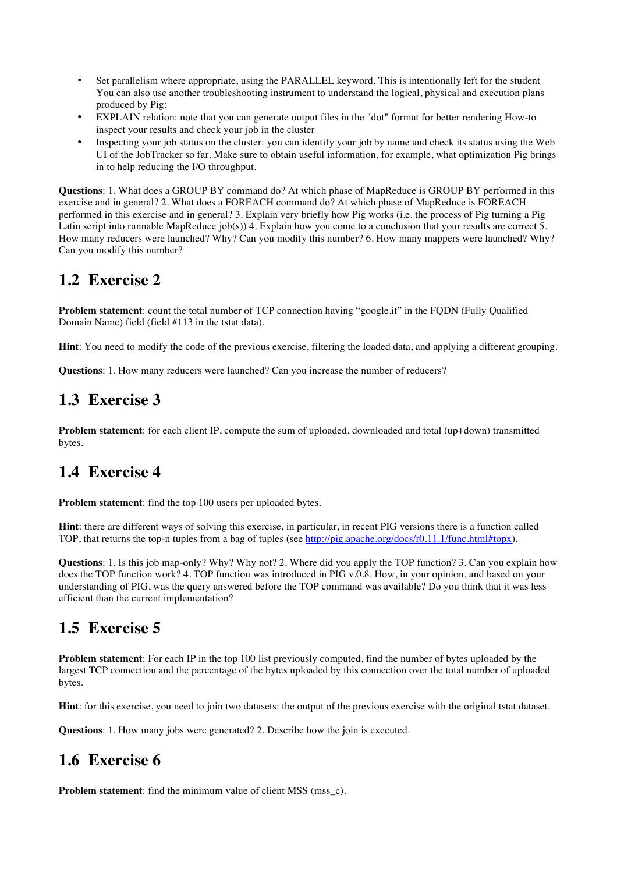- Set parallelism where appropriate, using the PARALLEL keyword. This is intentionally left for the student You can also use another troubleshooting instrument to understand the logical, physical and execution plans produced by Pig:
- EXPLAIN relation: note that you can generate output files in the "dot" format for better rendering How-to inspect your results and check your job in the cluster
- Inspecting your job status on the cluster: you can identify your job by name and check its status using the Web UI of the JobTracker so far. Make sure to obtain useful information, for example, what optimization Pig brings in to help reducing the I/O throughput.

**Questions**: 1. What does a GROUP BY command do? At which phase of MapReduce is GROUP BY performed in this exercise and in general? 2. What does a FOREACH command do? At which phase of MapReduce is FOREACH performed in this exercise and in general? 3. Explain very briefly how Pig works (i.e. the process of Pig turning a Pig Latin script into runnable MapReduce job(s)) 4. Explain how you come to a conclusion that your results are correct 5. How many reducers were launched? Why? Can you modify this number? 6. How many mappers were launched? Why? Can you modify this number?

## **1.2 Exercise 2**

**Problem statement**: count the total number of TCP connection having "google.it" in the FQDN (Fully Qualified Domain Name) field (field #113 in the tstat data).

**Hint**: You need to modify the code of the previous exercise, filtering the loaded data, and applying a different grouping.

**Questions**: 1. How many reducers were launched? Can you increase the number of reducers?

# **1.3 Exercise 3**

**Problem statement**: for each client IP, compute the sum of uploaded, downloaded and total (up+down) transmitted bytes.

# **1.4 Exercise 4**

**Problem statement**: find the top 100 users per uploaded bytes.

**Hint**: there are different ways of solving this exercise, in particular, in recent PIG versions there is a function called TOP, that returns the top-n tuples from a bag of tuples (see http://pig.apache.org/docs/r0.11.1/func.html#topx).

**Questions**: 1. Is this job map-only? Why? Why not? 2. Where did you apply the TOP function? 3. Can you explain how does the TOP function work? 4. TOP function was introduced in PIG v.0.8. How, in your opinion, and based on your understanding of PIG, was the query answered before the TOP command was available? Do you think that it was less efficient than the current implementation?

### **1.5 Exercise 5**

**Problem statement**: For each IP in the top 100 list previously computed, find the number of bytes uploaded by the largest TCP connection and the percentage of the bytes uploaded by this connection over the total number of uploaded bytes.

**Hint**: for this exercise, you need to join two datasets: the output of the previous exercise with the original tstat dataset.

**Questions**: 1. How many jobs were generated? 2. Describe how the join is executed.

# **1.6 Exercise 6**

**Problem statement:** find the minimum value of client MSS (mss\_c).